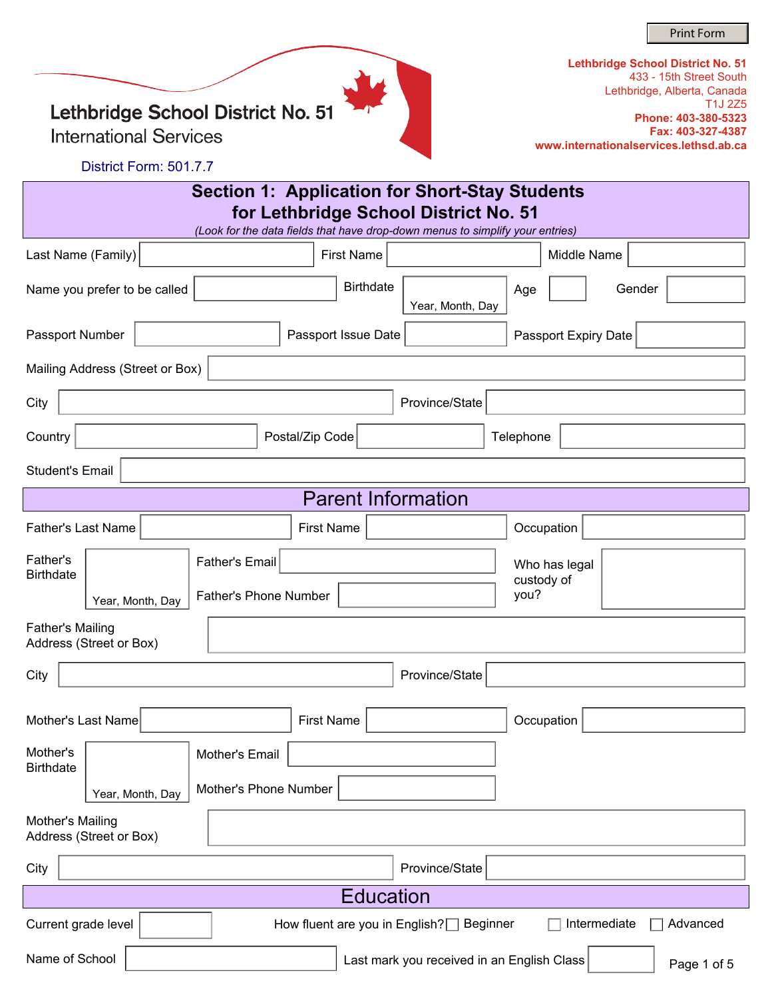Print Form

Lethbridge School District No. 51

**International Services** 

| Lethbridge School District No. 51      |
|----------------------------------------|
| 433 - 15th Street South                |
| Lethbridge, Alberta, Canada            |
| T <sub>1</sub> J 275                   |
| Phone: 403-380-5323                    |
| Fax: 403-327-4387                      |
| www.internationalservices.lethsd.ab.ca |

District Form: 501.7.7

| Section 1: Application for Short-Stay Students<br>for Lethbridge School District No. 51<br>(Look for the data fields that have drop-down menus to simplify your entries) |                                 |                       |                              |                     |                           |           |                             |                      |                             |
|--------------------------------------------------------------------------------------------------------------------------------------------------------------------------|---------------------------------|-----------------------|------------------------------|---------------------|---------------------------|-----------|-----------------------------|----------------------|-----------------------------|
| Last Name (Family)                                                                                                                                                       |                                 |                       |                              | <b>First Name</b>   |                           |           | Middle Name                 |                      |                             |
|                                                                                                                                                                          | Name you prefer to be called    |                       |                              | <b>Birthdate</b>    | Year, Month, Day          | Age       |                             | Gender               | $\left  \mathbf{v} \right $ |
| Passport Number                                                                                                                                                          |                                 |                       |                              | Passport Issue Date |                           |           |                             | Passport Expiry Date |                             |
|                                                                                                                                                                          | Mailing Address (Street or Box) |                       |                              |                     |                           |           |                             |                      |                             |
| City                                                                                                                                                                     |                                 |                       |                              |                     | Province/State            |           |                             |                      |                             |
| Country                                                                                                                                                                  |                                 |                       | Postal/Zip Code              |                     |                           | Telephone |                             |                      |                             |
| <b>Student's Email</b>                                                                                                                                                   |                                 |                       |                              |                     |                           |           |                             |                      |                             |
|                                                                                                                                                                          |                                 |                       |                              |                     | <b>Parent Information</b> |           |                             |                      |                             |
| <b>Father's Last Name</b>                                                                                                                                                |                                 |                       | <b>First Name</b>            |                     |                           |           | Occupation                  |                      |                             |
| Father's<br><b>Birthdate</b>                                                                                                                                             |                                 | <b>Father's Email</b> |                              |                     |                           |           | Who has legal<br>custody of |                      |                             |
|                                                                                                                                                                          | Year, Month, Day                |                       | <b>Father's Phone Number</b> |                     |                           | you?      |                             |                      |                             |
| <b>Father's Mailing</b><br>Address (Street or Box)                                                                                                                       |                                 |                       |                              |                     |                           |           |                             |                      |                             |
| City                                                                                                                                                                     |                                 |                       |                              |                     | Province/State            |           |                             |                      |                             |
|                                                                                                                                                                          |                                 |                       |                              |                     |                           |           |                             |                      |                             |
| Mother's Last Name                                                                                                                                                       |                                 |                       | <b>First Name</b>            |                     |                           |           | Occupation                  |                      |                             |
| Mother's<br><b>Birthdate</b>                                                                                                                                             |                                 | Mother's Email        |                              |                     |                           |           |                             |                      |                             |
|                                                                                                                                                                          | Year, Month, Day                |                       | Mother's Phone Number        |                     |                           |           |                             |                      |                             |
| Mother's Mailing<br>Address (Street or Box)                                                                                                                              |                                 |                       |                              |                     |                           |           |                             |                      |                             |
| City                                                                                                                                                                     |                                 |                       |                              |                     | Province/State            |           |                             |                      |                             |
|                                                                                                                                                                          |                                 |                       |                              | <b>Education</b>    |                           |           |                             |                      |                             |
| $\left  \cdot \right $<br>Intermediate<br>Advanced<br>Current grade level<br>How fluent are you in English?<br>Beginner                                                  |                                 |                       |                              |                     |                           |           |                             |                      |                             |
| Name of School<br>Last mark you received in an English Class<br>Page 1 of 5                                                                                              |                                 |                       |                              |                     |                           |           |                             |                      |                             |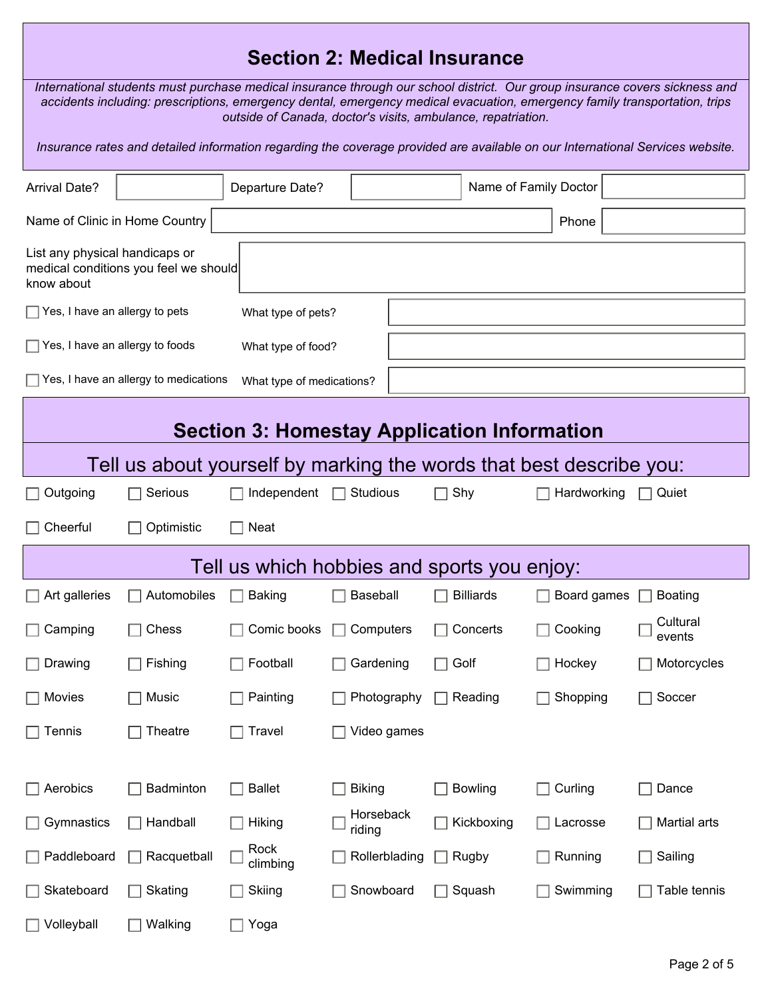## **Section 2: Medical Insurance**

*International students must purchase medical insurance through our school district. Our group insurance covers sickness and accidents including: prescriptions, emergency dental, emergency medical evacuation, emergency family transportation, trips outside of Canada, doctor's visits, ambulance, repatriation.* 

*Insurance rates and detailed information regarding the coverage provided are available on our International Services website.*

| <b>Arrival Date?</b>                                                |                                                    | Departure Date?           |                     |                           | Name of Family Doctor |                    |  |  |  |  |
|---------------------------------------------------------------------|----------------------------------------------------|---------------------------|---------------------|---------------------------|-----------------------|--------------------|--|--|--|--|
| Name of Clinic in Home Country<br>Phone                             |                                                    |                           |                     |                           |                       |                    |  |  |  |  |
| List any physical handicaps or<br>know about                        | medical conditions you feel we should              |                           |                     |                           |                       |                    |  |  |  |  |
| $\Box$ Yes, I have an allergy to pets                               |                                                    | What type of pets?        |                     |                           |                       |                    |  |  |  |  |
| $\Box$ Yes, I have an allergy to foods                              |                                                    | What type of food?        |                     |                           |                       |                    |  |  |  |  |
|                                                                     | Yes, I have an allergy to medications              | What type of medications? |                     |                           |                       |                    |  |  |  |  |
|                                                                     | <b>Section 3: Homestay Application Information</b> |                           |                     |                           |                       |                    |  |  |  |  |
| Tell us about yourself by marking the words that best describe you: |                                                    |                           |                     |                           |                       |                    |  |  |  |  |
| Outgoing                                                            | Serious                                            | Independent               | Studious            | Shy<br>$\blacksquare$     | Hardworking           | Quiet<br>$\Box$    |  |  |  |  |
| Cheerful                                                            | Optimistic                                         | <b>Neat</b>               |                     |                           |                       |                    |  |  |  |  |
| Tell us which hobbies and sports you enjoy:                         |                                                    |                           |                     |                           |                       |                    |  |  |  |  |
| Art galleries                                                       | Automobiles                                        | <b>Baking</b>             | Baseball            | <b>Billiards</b>          | Board games           | <b>Boating</b>     |  |  |  |  |
| Camping                                                             | Chess                                              | Comic books               | Computers           | Concerts                  | Cooking               | Cultural<br>events |  |  |  |  |
| Drawing                                                             | Fishing                                            | Football                  | Gardening           | Golf<br>$\blacksquare$    | Hockey                | Motorcycles        |  |  |  |  |
| Movies                                                              | Music                                              | Painting                  | Photography         | Reading<br>$\blacksquare$ | Shopping              | Soccer             |  |  |  |  |
| $\Box$ Tennis                                                       | $\Box$ Theatre                                     | $\Box$ Travel             | $\Box$ Video games  |                           |                       |                    |  |  |  |  |
|                                                                     |                                                    |                           |                     |                           |                       |                    |  |  |  |  |
| Aerobics                                                            | Badminton                                          | <b>Ballet</b>             | <b>Biking</b>       | <b>Bowling</b>            | Curling               | Dance              |  |  |  |  |
| Gymnastics                                                          | Handball                                           | Hiking                    | Horseback<br>riding | Kickboxing                | Lacrosse              | Martial arts       |  |  |  |  |
| Paddleboard                                                         | Racquetball                                        | Rock<br>climbing          | Rollerblading       | Rugby<br>$\Box$           | Running               | Sailing            |  |  |  |  |
| Skateboard                                                          | Skating                                            | Skiing                    | Snowboard           | Squash                    | Swimming              | Table tennis       |  |  |  |  |
| Volleyball                                                          | Walking                                            | Yoga                      |                     |                           |                       |                    |  |  |  |  |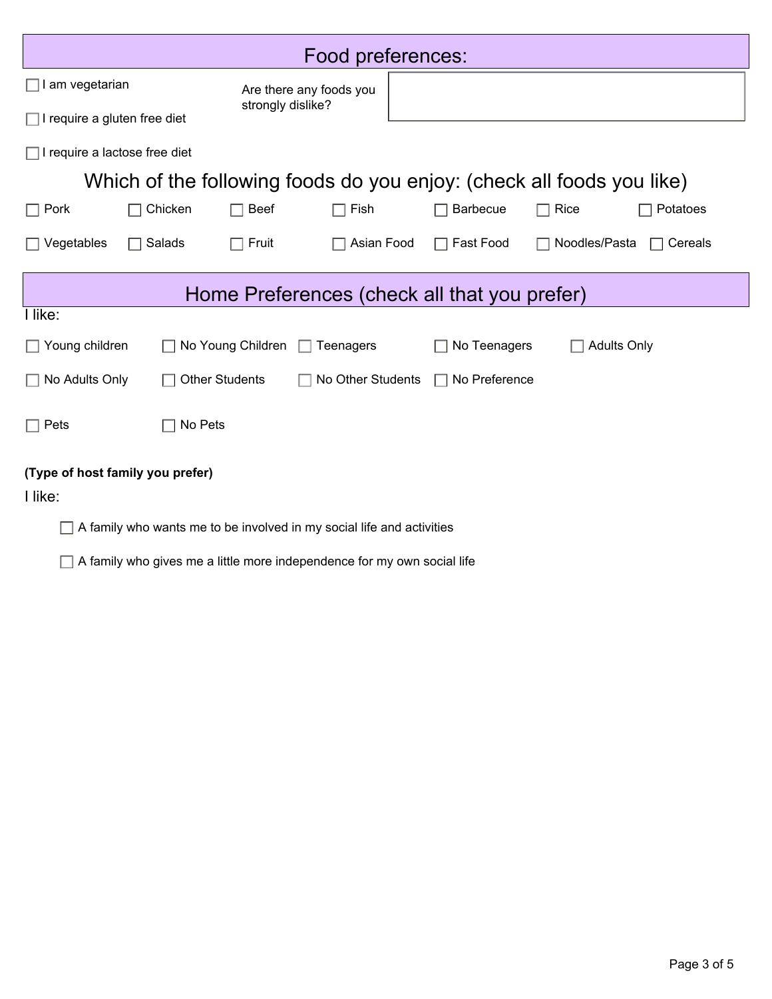| Food preferences:                                                     |                       |                         |                   |  |                                              |                                                                       |                         |  |
|-----------------------------------------------------------------------|-----------------------|-------------------------|-------------------|--|----------------------------------------------|-----------------------------------------------------------------------|-------------------------|--|
| $\Box$ I am vegetarian                                                |                       | Are there any foods you |                   |  |                                              |                                                                       |                         |  |
| $\Box$ I require a gluten free diet                                   |                       | strongly dislike?       |                   |  |                                              |                                                                       |                         |  |
| $\Box$ I require a lactose free diet                                  |                       |                         |                   |  |                                              |                                                                       |                         |  |
|                                                                       |                       |                         |                   |  |                                              | Which of the following foods do you enjoy: (check all foods you like) |                         |  |
| $\Box$ Pork                                                           | Chicken               | <b>Beef</b>             | Fish              |  | <b>Barbecue</b>                              | Rice                                                                  | Potatoes                |  |
| Vegetables                                                            | Salads                | Fruit                   | Asian Food        |  | Fast Food                                    | Noodles/Pasta                                                         | Cereals<br>$\mathsf{L}$ |  |
|                                                                       |                       |                         |                   |  | Home Preferences (check all that you prefer) |                                                                       |                         |  |
| I like:                                                               |                       |                         |                   |  |                                              |                                                                       |                         |  |
| $\Box$ Young children                                                 |                       | No Young Children       | Teenagers         |  | No Teenagers                                 | <b>Adults Only</b>                                                    |                         |  |
| No Adults Only                                                        | <b>Other Students</b> |                         | No Other Students |  | No Preference<br>$\Box$                      |                                                                       |                         |  |
| Pets                                                                  | No Pets               |                         |                   |  |                                              |                                                                       |                         |  |
| (Type of host family you prefer)                                      |                       |                         |                   |  |                                              |                                                                       |                         |  |
| I like:                                                               |                       |                         |                   |  |                                              |                                                                       |                         |  |
| A family who wants me to be involved in my social life and activities |                       |                         |                   |  |                                              |                                                                       |                         |  |

A family who gives me a little more independence for my own social life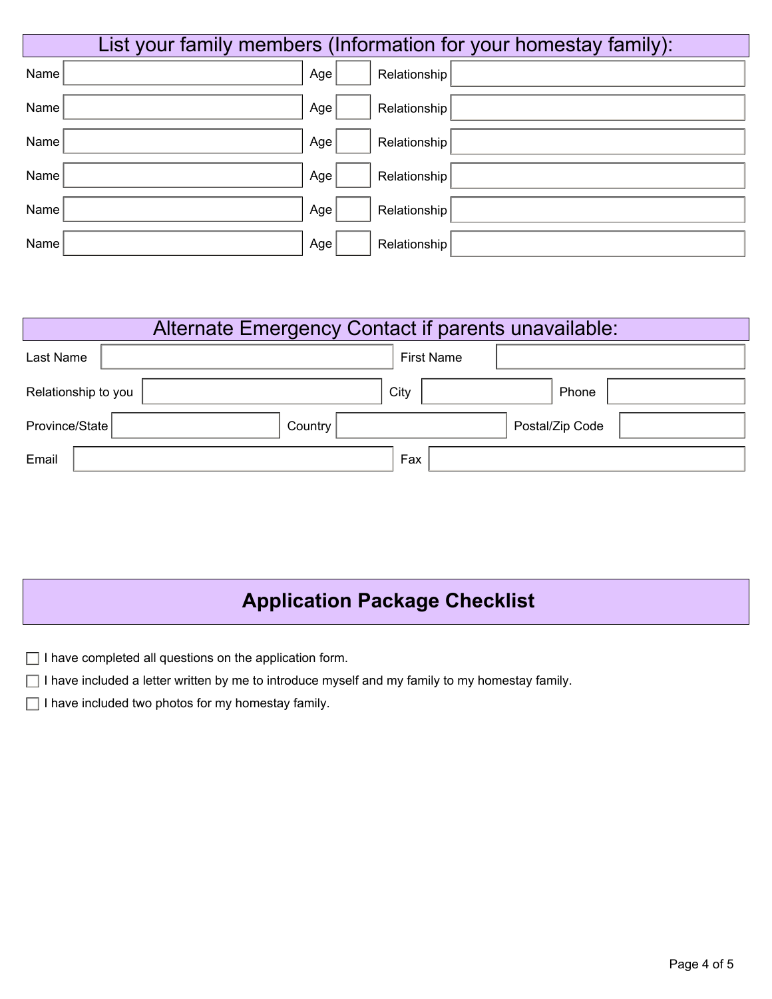|      |     | List your family members (Information for your homestay family): |
|------|-----|------------------------------------------------------------------|
| Name | Age | Relationship                                                     |
| Name | Age | Relationship                                                     |
| Name | Age | Relationship                                                     |
| Name | Age | Relationship                                                     |
| Name | Age | Relationship                                                     |
| Name | Age | Relationship                                                     |

| Alternate Emergency Contact if parents unavailable: |  |         |                   |                 |  |  |  |  |
|-----------------------------------------------------|--|---------|-------------------|-----------------|--|--|--|--|
| Last Name                                           |  |         | <b>First Name</b> |                 |  |  |  |  |
| Relationship to you                                 |  | City    |                   | Phone           |  |  |  |  |
| Province/State                                      |  | Country |                   | Postal/Zip Code |  |  |  |  |
| Email                                               |  |         | Fax               |                 |  |  |  |  |

## **Application Package Checklist**

| $\Box$ I have completed all questions on the application form. |  |
|----------------------------------------------------------------|--|
|----------------------------------------------------------------|--|

 $\Box$  I have included a letter written by me to introduce myself and my family to my homestay family.

 $\Box$  I have included two photos for my homestay family.